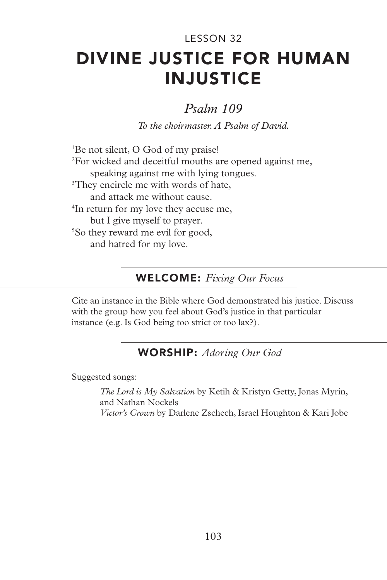# DIVINE JUSTICE FOR HUMAN INJUSTICE LESSON 32

# *Psalm 109*

*To the choirmaster. A Psalm of David.*

1 Be not silent, O God of my praise! 2 For wicked and deceitful mouths are opened against me, speaking against me with lying tongues. <sup>3</sup>They encircle me with words of hate, and attack me without cause. 4 In return for my love they accuse me, but I give myself to prayer. 5 So they reward me evil for good, and hatred for my love.

## WELCOME: *Fixing Our Focus*

Cite an instance in the Bible where God demonstrated his justice. Discuss with the group how you feel about God's justice in that particular instance (e.g. Is God being too strict or too lax?).

### WORSHIP: *Adoring Our God*

Suggested songs:

*The Lord is My Salvation* by Ketih & Kristyn Getty, Jonas Myrin, and Nathan Nockels *Victor's Crown* by Darlene Zschech, Israel Houghton & Kari Jobe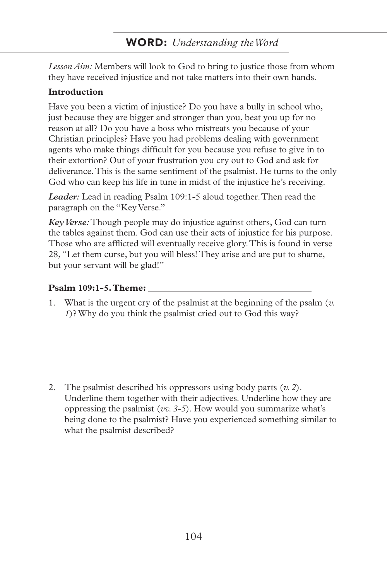*Lesson Aim:* Members will look to God to bring to justice those from whom they have received injustice and not take matters into their own hands.

#### **Introduction**

Have you been a victim of injustice? Do you have a bully in school who, just because they are bigger and stronger than you, beat you up for no reason at all? Do you have a boss who mistreats you because of your Christian principles? Have you had problems dealing with government agents who make things difficult for you because you refuse to give in to their extortion? Out of your frustration you cry out to God and ask for deliverance. This is the same sentiment of the psalmist. He turns to the only God who can keep his life in tune in midst of the injustice he's receiving.

*Leader:* Lead in reading Psalm 109:1-5 aloud together. Then read the paragraph on the "Key Verse."

*Key Verse:* Though people may do injustice against others, God can turn the tables against them. God can use their acts of injustice for his purpose. Those who are afflicted will eventually receive glory. This is found in verse 28, "Let them curse, but you will bless! They arise and are put to shame, but your servant will be glad!"

#### **Psalm 109:1-5. Theme:**

1. What is the urgent cry of the psalmist at the beginning of the psalm (*v. 1*)? Why do you think the psalmist cried out to God this way?

2. The psalmist described his oppressors using body parts (*v. 2*). Underline them together with their adjectives. Underline how they are oppressing the psalmist (*vv. 3-5*). How would you summarize what's being done to the psalmist? Have you experienced something similar to what the psalmist described?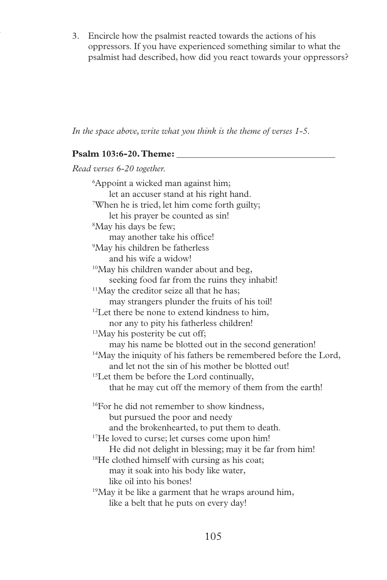3. Encircle how the psalmist reacted towards the actions of his oppressors. If you have experienced something similar to what the psalmist had described, how did you react towards your oppressors?

*In the space above, write what you think is the theme of verses 1-5.*

#### **Psalm 103:6-20. Theme:**

*Read verses 6-20 together.* 6 Appoint a wicked man against him; let an accuser stand at his right hand. 7 When he is tried, let him come forth guilty; let his prayer be counted as sin! 8 May his days be few; may another take his office! 9 May his children be fatherless and his wife a widow! <sup>10</sup>May his children wander about and beg, seeking food far from the ruins they inhabit!  $11$ May the creditor seize all that he has; may strangers plunder the fruits of his toil! <sup>12</sup>Let there be none to extend kindness to him, nor any to pity his fatherless children! <sup>13</sup>May his posterity be cut off; may his name be blotted out in the second generation! <sup>14</sup>May the iniquity of his fathers be remembered before the Lord, and let not the sin of his mother be blotted out! <sup>15</sup>Let them be before the Lord continually, that he may cut off the memory of them from the earth! <sup>16</sup>For he did not remember to show kindness, but pursued the poor and needy and the brokenhearted, to put them to death. <sup>17</sup>He loved to curse; let curses come upon him! He did not delight in blessing; may it be far from him! <sup>18</sup>He clothed himself with cursing as his coat; may it soak into his body like water, like oil into his bones! <sup>19</sup>May it be like a garment that he wraps around him, like a belt that he puts on every day!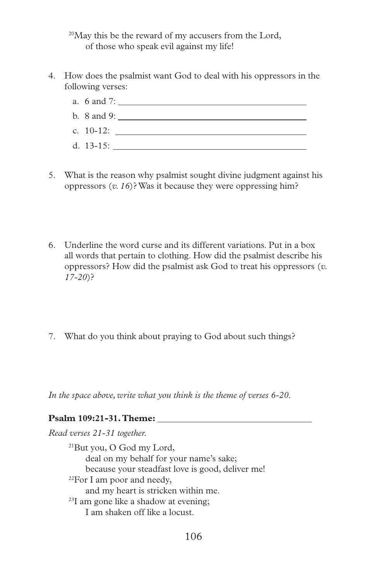$20$ May this be the reward of my accusers from the Lord, of those who speak evil against my life!

4. How does the psalmist want God to deal with his oppressors in the following verses:



- 5. What is the reason why psalmist sought divine judgment against his oppressors (*v. 16*)? Was it because they were oppressing him?
- 6. Underline the word curse and its different variations. Put in a box all words that pertain to clothing. How did the psalmist describe his oppressors? How did the psalmist ask God to treat his oppressors (*v. 17-20*)?
- 7. What do you think about praying to God about such things?

*In the space above, write what you think is the theme of verses 6-20.*

#### **Psalm 109:21-31. Theme:**

*Read verses 21-31 together.* 21But you, O God my Lord, deal on my behalf for your name's sake; because your steadfast love is good, deliver me!  $22$ For I am poor and needy, and my heart is stricken within me. 23I am gone like a shadow at evening; I am shaken off like a locust.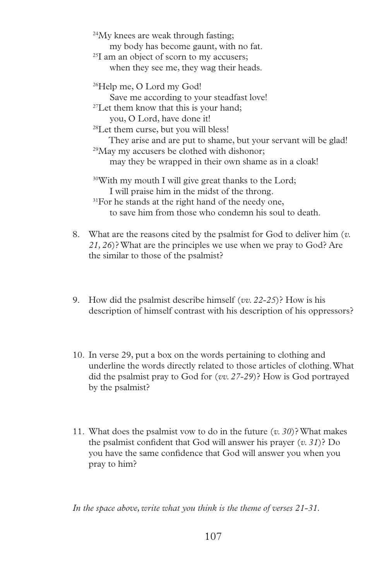<sup>24</sup>My knees are weak through fasting; my body has become gaunt, with no fat. <sup>25</sup>I am an object of scorn to my accusers; when they see me, they wag their heads. 26Help me, O Lord my God! Save me according to your steadfast love! <sup>27</sup>Let them know that this is your hand; you, O Lord, have done it! <sup>28</sup>Let them curse, but you will bless! They arise and are put to shame, but your servant will be glad! <sup>29</sup>May my accusers be clothed with dishonor; may they be wrapped in their own shame as in a cloak! <sup>30</sup>With my mouth I will give great thanks to the Lord; I will praise him in the midst of the throng. <sup>31</sup>For he stands at the right hand of the needy one, to save him from those who condemn his soul to death.

- 8. What are the reasons cited by the psalmist for God to deliver him (*v. 21, 26*)? What are the principles we use when we pray to God? Are the similar to those of the psalmist?
- 9. How did the psalmist describe himself (*vv. 22-25*)? How is his description of himself contrast with his description of his oppressors?
- 10. In verse 29, put a box on the words pertaining to clothing and underline the words directly related to those articles of clothing. What did the psalmist pray to God for (*vv. 27-29*)? How is God portrayed by the psalmist?
- 11. What does the psalmist vow to do in the future (*v. 30*)? What makes the psalmist confident that God will answer his prayer (*v. 31*)? Do you have the same confidence that God will answer you when you pray to him?

*In the space above, write what you think is the theme of verses 21-31.*